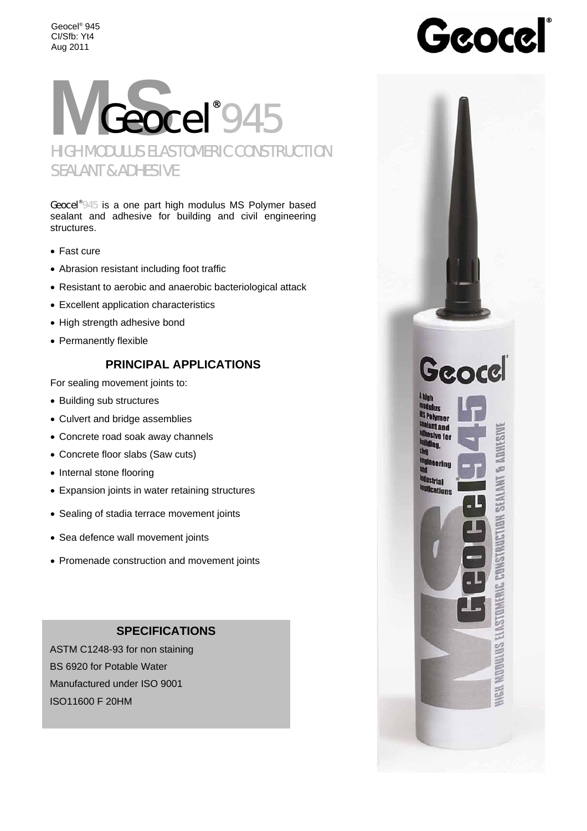Geocel® 945 CI/Sfb: Yt4 Aug 2011



Geocel®945 is a one part high modulus MS Polymer based sealant and adhesive for building and civil engineering structures.

- Fast cure
- Abrasion resistant including foot traffic
- Resistant to aerobic and anaerobic bacteriological attack
- Excellent application characteristics
- High strength adhesive bond
- Permanently flexible

# **PRINCIPAL APPLICATIONS**

For sealing movement joints to:

- Building sub structures
- Culvert and bridge assemblies
- Concrete road soak away channels
- Concrete floor slabs (Saw cuts)
- Internal stone flooring
- Expansion joints in water retaining structures
- Sealing of stadia terrace movement joints
- Sea defence wall movement joints
- Promenade construction and movement joints

# **SPECIFICATIONS**

 $\overline{1}$ ASTM C1248-93 for non staining BS 6920 for Potable Water Manufactured under ISO 9001 ISO11600 F 20HM

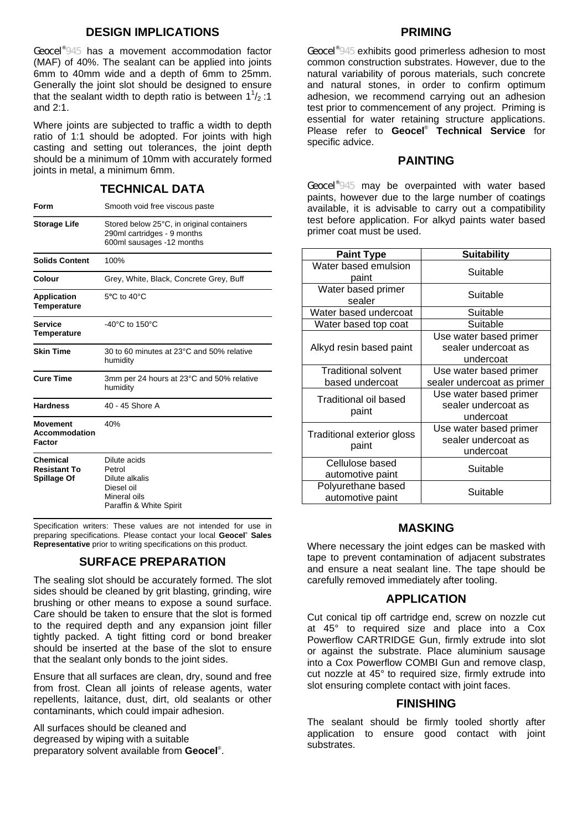# **DESIGN IMPLICATIONS**

Geocel<sup>®945</sup> has a movement accommodation factor (MAF) of 40%. The sealant can be applied into joints 6mm to 40mm wide and a depth of 6mm to 25mm. Generally the joint slot should be designed to ensure that the sealant width to depth ratio is between  $1^{\frac{1}{2}}$ :1 and 2:1.

Where joints are subjected to traffic a width to depth ratio of 1:1 should be adopted. For joints with high casting and setting out tolerances, the joint depth should be a minimum of 10mm with accurately formed joints in metal, a minimum 6mm.

### **TECHNICAL DATA**

| Form                                                         | Smooth void free viscous paste                                                                        |
|--------------------------------------------------------------|-------------------------------------------------------------------------------------------------------|
| <b>Storage Life</b>                                          | Stored below 25°C, in original containers<br>290ml cartridges - 9 months<br>600ml sausages -12 months |
| <b>Solids Content</b>                                        | 100%                                                                                                  |
| Colour                                                       | Grey, White, Black, Concrete Grey, Buff                                                               |
| <b>Application</b><br><b>Temperature</b>                     | $5^{\circ}$ C to $40^{\circ}$ C                                                                       |
| <b>Service</b><br>Temperature                                | $-40^{\circ}$ C to 150 $^{\circ}$ C                                                                   |
| <b>Skin Time</b>                                             | 30 to 60 minutes at 23°C and 50% relative<br>humidity                                                 |
| <b>Cure Time</b>                                             | 3mm per 24 hours at 23°C and 50% relative<br>humidity                                                 |
| <b>Hardness</b>                                              | 40 - 45 Shore A                                                                                       |
| <b>Movement</b><br><b>Accommodation</b><br>Factor            | 40%                                                                                                   |
| <b>Chemical</b><br><b>Resistant To</b><br><b>Spillage Of</b> | Dilute acids<br>Petrol<br>Dilute alkalis<br>Diesel oil<br>Mineral oils<br>Paraffin & White Spirit     |

Specification writers: These values are not intended for use in preparing specifications. Please contact your local **Geocel® Sales Representative** prior to writing specifications on this product.

### **SURFACE PREPARATION**

The sealing slot should be accurately formed. The slot sides should be cleaned by grit blasting, grinding, wire brushing or other means to expose a sound surface. Care should be taken to ensure that the slot is formed to the required depth and any expansion joint filler tightly packed. A tight fitting cord or bond breaker should be inserted at the base of the slot to ensure that the sealant only bonds to the joint sides.

Ensure that all surfaces are clean, dry, sound and free from frost. Clean all joints of release agents, water repellents, laitance, dust, dirt, old sealants or other contaminants, which could impair adhesion.

All surfaces should be cleaned and degreased by wiping with a suitable preparatory solvent available from **Geocel**® .

#### **PRIMING**

Geocel<sup>®</sup>945 exhibits good primerless adhesion to most common construction substrates. However, due to the natural variability of porous materials, such concrete and natural stones, in order to confirm optimum adhesion, we recommend carrying out an adhesion test prior to commencement of any project. Priming is essential for water retaining structure applications. Please refer to **Geocel**®  **Technical Service** for specific advice.

### **PAINTING**

Geocel<sup>®</sup>945 may be overpainted with water based paints, however due to the large number of coatings available, it is advisable to carry out a compatibility test before application. For alkyd paints water based primer coat must be used.

| <b>Paint Type</b>                             | <b>Suitability</b>                                         |
|-----------------------------------------------|------------------------------------------------------------|
| Water based emulsion<br>paint                 | Suitable                                                   |
| Water based primer<br>sealer                  | Suitable                                                   |
| Water based undercoat                         | Suitable                                                   |
| Water based top coat                          | Suitable                                                   |
| Alkyd resin based paint                       | Use water based primer<br>sealer undercoat as<br>undercoat |
| <b>Traditional solvent</b><br>based undercoat | Use water based primer<br>sealer undercoat as primer       |
| <b>Traditional oil based</b><br>paint         | Use water based primer<br>sealer undercoat as<br>undercoat |
| Traditional exterior gloss<br>paint           | Use water based primer<br>sealer undercoat as<br>undercoat |
| Cellulose based<br>automotive paint           | Suitable                                                   |
| Polyurethane based<br>automotive paint        | Suitable                                                   |

#### **MASKING**

Where necessary the joint edges can be masked with tape to prevent contamination of adjacent substrates and ensure a neat sealant line. The tape should be carefully removed immediately after tooling.

#### **APPLICATION**

Cut conical tip off cartridge end, screw on nozzle cut at 45° to required size and place into a Cox Powerflow CARTRIDGE Gun, firmly extrude into slot or against the substrate. Place aluminium sausage into a Cox Powerflow COMBI Gun and remove clasp, cut nozzle at 45° to required size, firmly extrude into slot ensuring complete contact with joint faces.

#### **FINISHING**

The sealant should be firmly tooled shortly after application to ensure good contact with joint substrates.